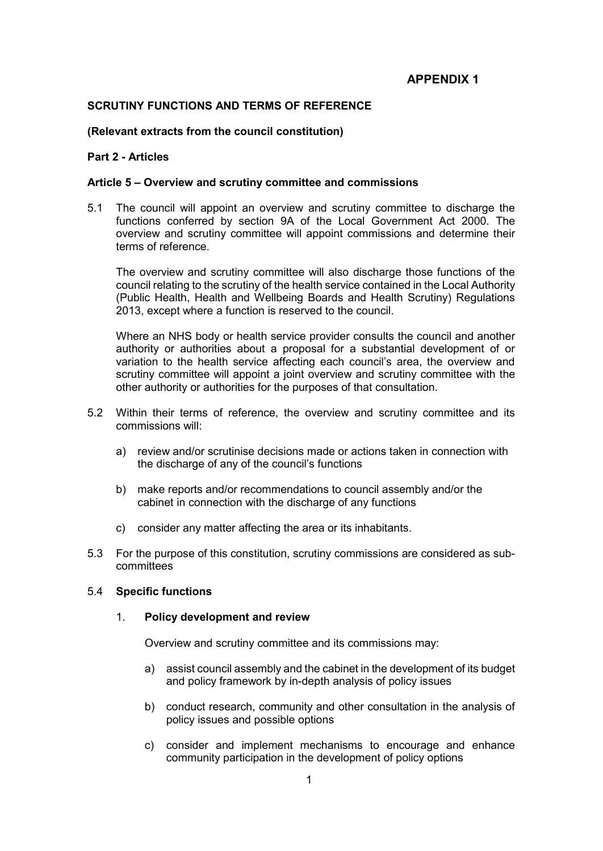# **APPENDIX 1**

# **SCRUTINY FUNCTIONS AND TERMS OF REFERENCE**

#### **(Relevant extracts from the council constitution)**

# **Part 2 - Articles**

# **Article 5 – Overview and scrutiny committee and commissions**

5.1 The council will appoint an overview and scrutiny committee to discharge the functions conferred by section 9A of the Local Government Act 2000. The overview and scrutiny committee will appoint commissions and determine their terms of reference.

The overview and scrutiny committee will also discharge those functions of the council relating to the scrutiny of the health service contained in the Local Authority (Public Health, Health and Wellbeing Boards and Health Scrutiny) Regulations 2013, except where a function is reserved to the council.

Where an NHS body or health service provider consults the council and another authority or authorities about a proposal for a substantial development of or variation to the health service affecting each council's area, the overview and scrutiny committee will appoint a joint overview and scrutiny committee with the other authority or authorities for the purposes of that consultation.

- 5.2 Within their terms of reference, the overview and scrutiny committee and its commissions will:
	- a) review and/or scrutinise decisions made or actions taken in connection with the discharge of any of the council's functions
	- b) make reports and/or recommendations to council assembly and/or the cabinet in connection with the discharge of any functions
	- c) consider any matter affecting the area or its inhabitants.
- 5.3 For the purpose of this constitution, scrutiny commissions are considered as subcommittees

# 5.4 **Specific functions**

#### 1. **Policy development and review**

Overview and scrutiny committee and its commissions may:

- a) assist council assembly and the cabinet in the development of its budget and policy framework by in-depth analysis of policy issues
- b) conduct research, community and other consultation in the analysis of policy issues and possible options
- c) consider and implement mechanisms to encourage and enhance community participation in the development of policy options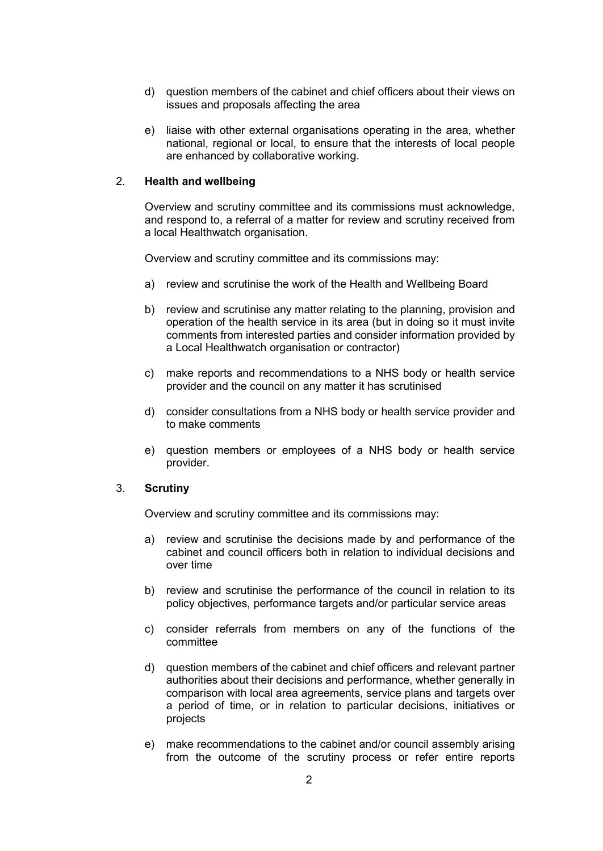- d) question members of the cabinet and chief officers about their views on issues and proposals affecting the area
- e) liaise with other external organisations operating in the area, whether national, regional or local, to ensure that the interests of local people are enhanced by collaborative working.

# 2. **Health and wellbeing**

Overview and scrutiny committee and its commissions must acknowledge, and respond to, a referral of a matter for review and scrutiny received from a local Healthwatch organisation.

Overview and scrutiny committee and its commissions may:

- a) review and scrutinise the work of the Health and Wellbeing Board
- b) review and scrutinise any matter relating to the planning, provision and operation of the health service in its area (but in doing so it must invite comments from interested parties and consider information provided by a Local Healthwatch organisation or contractor)
- c) make reports and recommendations to a NHS body or health service provider and the council on any matter it has scrutinised
- d) consider consultations from a NHS body or health service provider and to make comments
- e) question members or employees of a NHS body or health service provider.

#### 3. **Scrutiny**

Overview and scrutiny committee and its commissions may:

- a) review and scrutinise the decisions made by and performance of the cabinet and council officers both in relation to individual decisions and over time
- b) review and scrutinise the performance of the council in relation to its policy objectives, performance targets and/or particular service areas
- c) consider referrals from members on any of the functions of the committee
- d) question members of the cabinet and chief officers and relevant partner authorities about their decisions and performance, whether generally in comparison with local area agreements, service plans and targets over a period of time, or in relation to particular decisions, initiatives or projects
- e) make recommendations to the cabinet and/or council assembly arising from the outcome of the scrutiny process or refer entire reports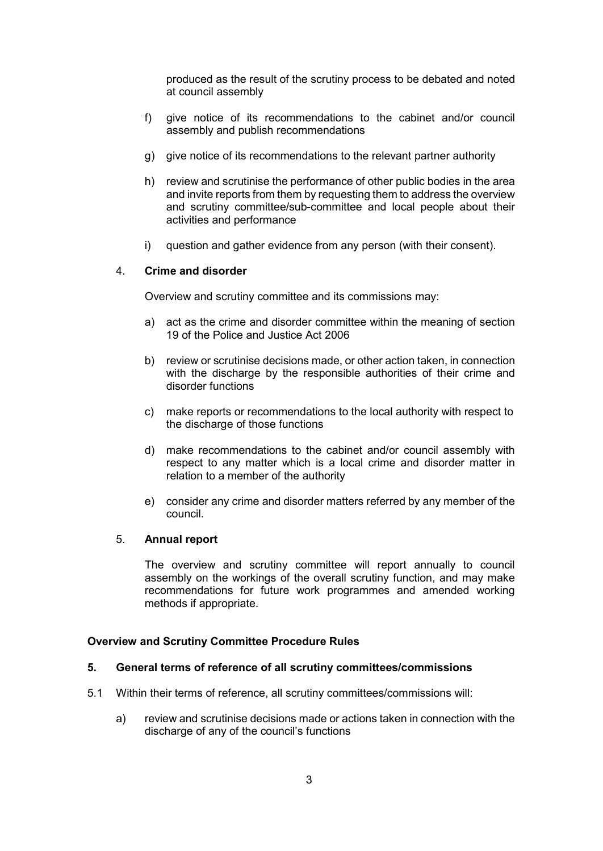produced as the result of the scrutiny process to be debated and noted at council assembly

- f) give notice of its recommendations to the cabinet and/or council assembly and publish recommendations
- g) give notice of its recommendations to the relevant partner authority
- h) review and scrutinise the performance of other public bodies in the area and invite reports from them by requesting them to address the overview and scrutiny committee/sub-committee and local people about their activities and performance
- i) question and gather evidence from any person (with their consent).

# 4. **Crime and disorder**

Overview and scrutiny committee and its commissions may:

- a) act as the crime and disorder committee within the meaning of section 19 of the Police and Justice Act 2006
- b) review or scrutinise decisions made, or other action taken, in connection with the discharge by the responsible authorities of their crime and disorder functions
- c) make reports or recommendations to the local authority with respect to the discharge of those functions
- d) make recommendations to the cabinet and/or council assembly with respect to any matter which is a local crime and disorder matter in relation to a member of the authority
- e) consider any crime and disorder matters referred by any member of the council.

#### 5. **Annual report**

The overview and scrutiny committee will report annually to council assembly on the workings of the overall scrutiny function, and may make recommendations for future work programmes and amended working methods if appropriate.

#### **Overview and Scrutiny Committee Procedure Rules**

#### **5. General terms of reference of all scrutiny committees/commissions**

- 5.1 Within their terms of reference, all scrutiny committees/commissions will:
	- a) review and scrutinise decisions made or actions taken in connection with the discharge of any of the council's functions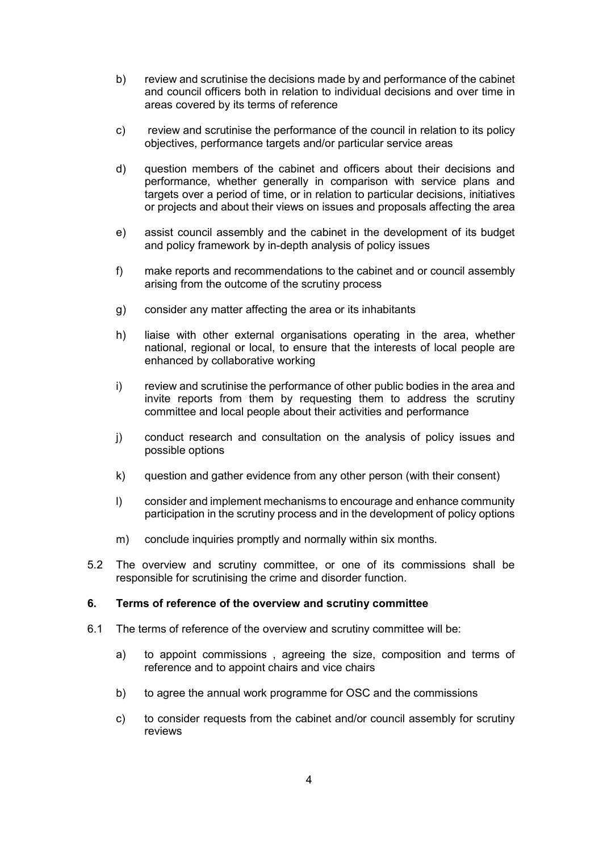- b) review and scrutinise the decisions made by and performance of the cabinet and council officers both in relation to individual decisions and over time in areas covered by its terms of reference
- c) review and scrutinise the performance of the council in relation to its policy objectives, performance targets and/or particular service areas
- d) question members of the cabinet and officers about their decisions and performance, whether generally in comparison with service plans and targets over a period of time, or in relation to particular decisions, initiatives or projects and about their views on issues and proposals affecting the area
- e) assist council assembly and the cabinet in the development of its budget and policy framework by in-depth analysis of policy issues
- f) make reports and recommendations to the cabinet and or council assembly arising from the outcome of the scrutiny process
- g) consider any matter affecting the area or its inhabitants
- h) liaise with other external organisations operating in the area, whether national, regional or local, to ensure that the interests of local people are enhanced by collaborative working
- i) review and scrutinise the performance of other public bodies in the area and invite reports from them by requesting them to address the scrutiny committee and local people about their activities and performance
- j) conduct research and consultation on the analysis of policy issues and possible options
- k) question and gather evidence from any other person (with their consent)
- l) consider and implement mechanisms to encourage and enhance community participation in the scrutiny process and in the development of policy options
- m) conclude inquiries promptly and normally within six months.
- 5.2 The overview and scrutiny committee, or one of its commissions shall be responsible for scrutinising the crime and disorder function.

#### **6. Terms of reference of the overview and scrutiny committee**

- 6.1 The terms of reference of the overview and scrutiny committee will be:
	- a) to appoint commissions , agreeing the size, composition and terms of reference and to appoint chairs and vice chairs
	- b) to agree the annual work programme for OSC and the commissions
	- c) to consider requests from the cabinet and/or council assembly for scrutiny reviews